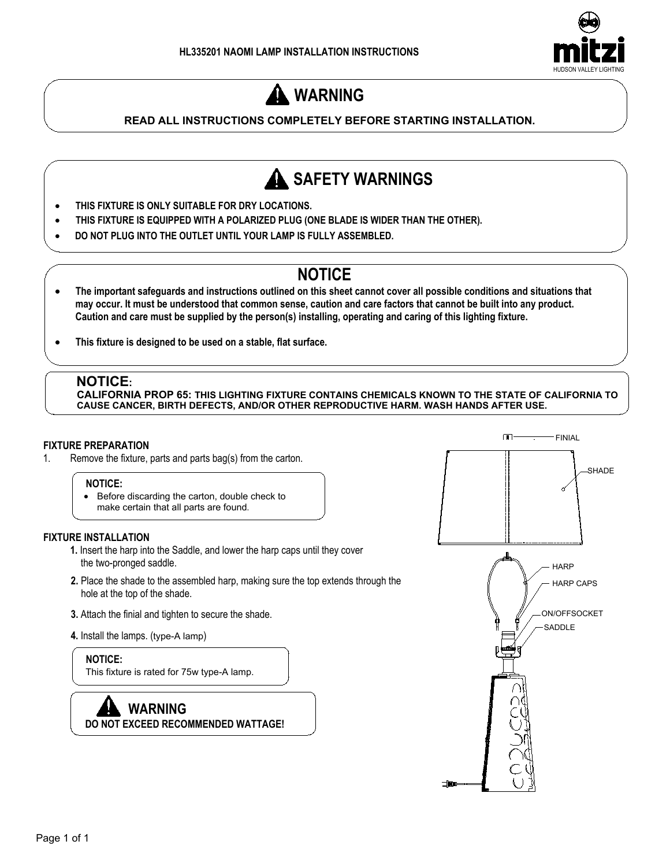

# **WARNING**

# **READ ALL INSTRUCTIONS COMPLETELY BEFORE STARTING INSTALLATION.**



- **THIS FIXTURE IS ONLY SUITABLE FOR DRY LOCATIONS.**
- · **THIS FIXTURE IS EQUIPPED WITH A POLARIZED PLUG (ONE BLADE IS WIDER THAN THE OTHER).**
- · **DO NOT PLUG INTO THE OUTLET UNTIL YOUR LAMP IS FULLY ASSEMBLED.**

# **NOTICE**

- · **The important safeguards and instructions outlined on this sheet cannot cover all possible conditions and situations that may occur. It must be understood that common sense, caution and care factors that cannot be built into any product. Caution and care must be supplied by the person(s) installing, operating and caring of this lighting fixture.**
- · **This fixture is designed to be used on a stable, flat surface.**

# **NOTICE:**

**CALIFORNIA PROP 65: THIS LIGHTING FIXTURE CONTAINS CHEMICALS KNOWN TO THE STATE OF CALIFORNIA TO CAUSE CANCER, BIRTH DEFECTS, AND/OR OTHER REPRODUCTIVE HARM. WASH HANDS AFTER USE.**

### **FIXTURE PREPARATION**

1. Remove the fixture, parts and parts bag(s) from the carton.

### **NOTICE:**

· Before discarding the carton, double check to make certain that all parts are found.

### **FIXTURE INSTALLATION**

- **1.** Insert the harp into the Saddle, and lower the harp caps until they cover the two-pronged saddle.
- **2.** Place the shade to the assembled harp, making sure the top extends through the hole at the top of the shade.
- **3.** Attach the finial and tighten to secure the shade.
- **4.** Install the lamps. (type-A lamp)

 **NOTICE:** This fixture is rated for 75w type-A lamp.